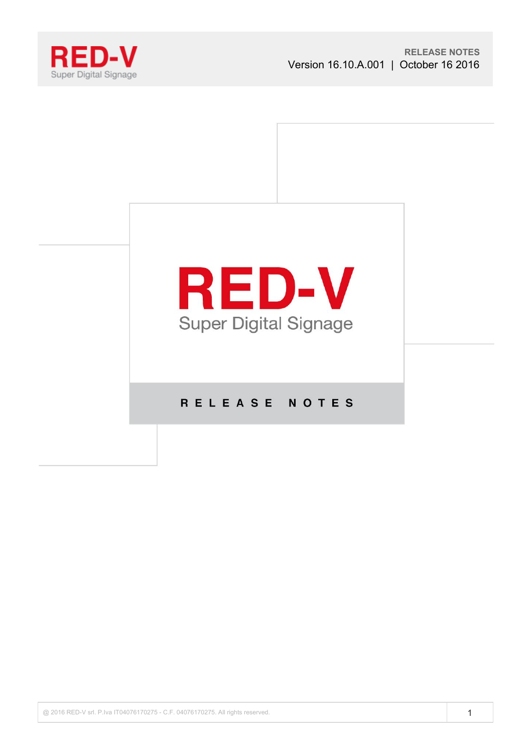



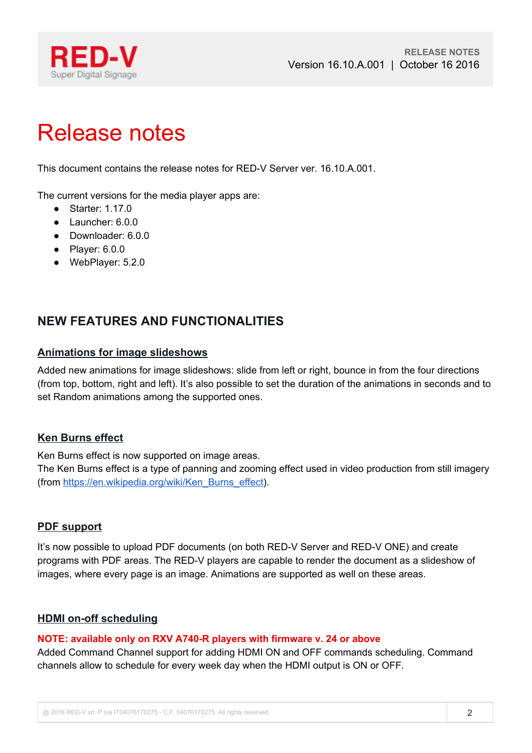

# Release notes

This document contains the release notes for RED-V Server ver. 16.10.A.001.

The current versions for the media player apps are:

- Starter: 1.17.0
- Launcher: 6.0.0
- Downloader: 6.0.0
- Player: 6.0.0
- WebPlayer: 5.2.0

# **NEW FEATURES AND FUNCTIONALITIES**

# **Animations for image slideshows**

Added new animations for image slideshows: slide from left or right, bounce in from the four directions (from top, bottom, right and left). It's also possible to set the duration of the animations in seconds and to set Random animations among the supported ones.

# **Ken Burns effect**

Ken Burns effect is now supported on image areas.

The Ken Burns effect is a type of panning and zooming effect used in video production from still imagery (from [https://en.wikipedia.org/wiki/Ken\\_Burns\\_effect\)](https://en.wikipedia.org/wiki/Ken_Burns_effect).

# **PDF support**

It's now possible to upload PDF documents (on both RED-V Server and RED-V ONE) and create programs with PDF areas. The RED-V players are capable to render the document as a slideshow of images, where every page is an image. Animations are supported as well on these areas.

# **HDMI on-off scheduling**

#### **NOTE: available only on RXV A740-R players with firmware v. 24 or above**

Added Command Channel support for adding HDMI ON and OFF commands scheduling. Command channels allow to schedule for every week day when the HDMI output is ON or OFF.